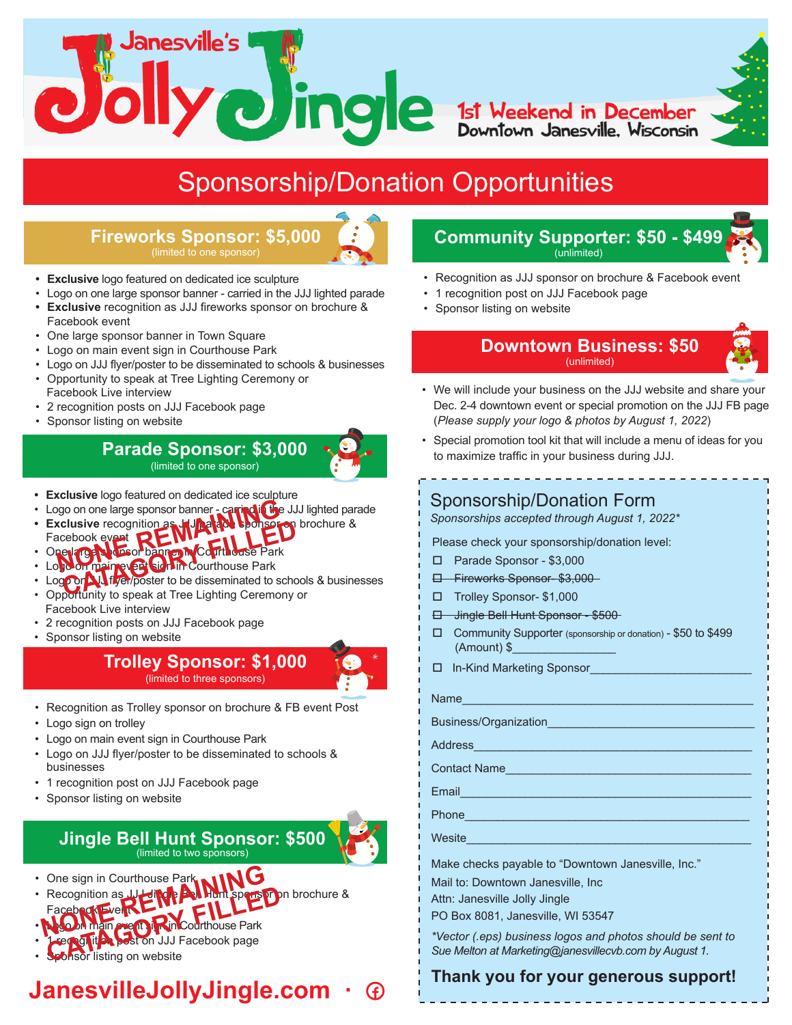lanesville's **Communitier de la 1st Weekend in December<br>Downtown Janesville, Wisconsin** 

# Sponsorship/Donation Opportunities

### **Fireworks Sponsor: \$5,000** (limited to one sponsor)

- **• Exclusive** logo featured on dedicated ice sculpture
- Logo on one large sponsor banner carried in the JJJ lighted parade
- **• Exclusive** recognition as JJJ fireworks sponsor on brochure & Facebook event
- One large sponsor banner in Town Square
- Logo on main event sign in Courthouse Park
- Logo on JJJ flyer/poster to be disseminated to schools & businesses
- Opportunity to speak at Tree Lighting Ceremony or Facebook Live interview
- 2 recognition posts on JJJ Facebook page
- Sponsor listing on website

## **Parade Sponsor: \$3,000** (limited to one sponsor)

- **• Exclusive** logo featured on dedicated ice sculpture
- Logo on one large sponsor banner carring in the JJJ lighted parade
- **• Exclusive** recognition as JJJ parade sponsor on brochure &
- Facebook event • One large sponsor banner in Courthouse Park **NONE CONSERVER AND AN INCORPORATION**<br> **NONE REGISTER AND AN INCORPORATION**<br> **NONE REMANDEM CONTINUES**<br> **NONE PARAMETER AND AN INCORPORATION** cebook event<br> **CATAGORY FILLED**<br> **CATAGORY FILLED**<br> **CATAGORY FILLED**<br> **CATAGORY FILLED**<br> **CATAGORY FILLED**<br> **CATAGORY FILLED**<br> **CATAGORY FILLED**<br> **CATAGORY FILLED**<br> **CATAGORY FILLED**<br> **CATAGORY FILLED**<br> **CATAGORY FILLED**<br>
- Logo on main event sign in Courthouse Park
- Logo on JJJ flyer/poster to be disseminated to schools & businesses
- Opportunity to speak at Tree Lighting Ceremony or Facebook Live interview
- 2 recognition posts on JJJ Facebook page
- Sponsor listing on website

**Trolley Sponsor: \$1,000** (limited to three sponsors)

- Recognition as Trolley sponsor on brochure & FB event Post
- Logo sign on trolley
- Logo on main event sign in Courthouse Park
- Logo on JJJ flyer/poster to be disseminated to schools & businesses
- 1 recognition post on JJJ Facebook page
- Sponsor listing on website

#### **Jingle Bell Hunt Sponsor: \$500** (limited to two sponsors)

- One sign in Courthouse Park
- Recognition as JJ Jingle **Bell Hunt sponsor on** brochure & One sign in Courthouse Park<br>Recognition as JU Hill Public Speed<br>Facebook Every Rincourthouse Park Recognition as **JU-Lingh AM Hunt spension**<br>Facebook File **Ready Rincountiouse Park**<br>**Leg of it A pest on JJJ Facebook page**<br>Sponsor listing on website
- Facebook Event
- **Logo on main exect sign in Courthouse Park** recognition post on JJJ Facebook page
- **Sponsor listing on website**

# **JanesvilleJollyJingle.com ·**

### **Community Supporter: \$50 - \$499** (unlimited)

- Recognition as JJJ sponsor on brochure & Facebook event
- 1 recognition post on JJJ Facebook page
- Sponsor listing on website

#### **Downtown Business: \$50** (unlimited)

- We will include your business on the JJJ website and share your Dec. 2-4 downtown event or special promotion on the JJJ FB page (*Please supply your logo & photos by August 1, 2022*)
- Special promotion tool kit that will include a menu of ideas for you to maximize traffic in your business during JJJ.

## Sponsorship/Donation Form

*Sponsorships accepted through August 1, 2022\**

Please check your sponsorship/donation level:

- □ Parade Sponsor \$3,000
- Fireworks Sponsor- \$3,000
- □ Trolley Sponsor- \$1,000
- Jingle Bell Hunt Sponsor \$500
- Community Supporter (sponsorship or donation) \$50 to \$499 (Amount) \$\_\_\_\_\_\_\_\_\_\_\_\_\_\_\_\_

□ In-Kind Marketing Sponsor

| Name                  |  |
|-----------------------|--|
| Business/Organization |  |

Address\_\_\_\_\_\_\_\_\_\_\_\_\_\_\_\_\_\_\_\_\_\_\_\_\_\_\_\_\_\_\_\_\_\_\_\_\_\_\_\_\_\_\_

Contact Name

Email\_\_\_\_\_\_\_\_\_\_\_\_\_\_\_\_\_\_\_\_\_\_\_\_\_\_\_\_\_\_\_\_\_\_\_\_\_\_\_\_\_\_\_\_\_

Phone\_\_\_\_\_\_\_\_\_\_\_\_\_\_\_\_\_\_\_\_\_\_\_\_\_\_\_\_\_\_\_\_\_\_\_\_\_\_\_\_\_\_\_\_

Wesite

Make checks payable to "Downtown Janesville, Inc."

Mail to: Downtown Janesville, Inc

Attn: Janesville Jolly Jingle

PO Box 8081, Janesville, WI 53547

*\*Vector (.eps) business logos and photos should be sent to Sue Melton at Marketing@janesvillecvb.com by August 1.*

## **Thank you for your generous support!**